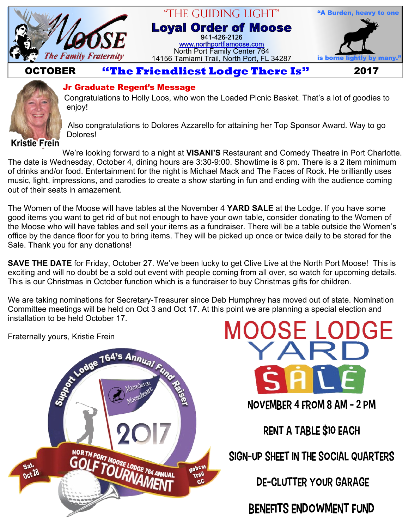

#### "The Guiding Light" **Loyal Order of Moose** 941-426-2126 [www.northportflamoose.com](http://www.northportflamoose.com) North Port Family Center 764 14156 Tamiami Trail, North Port, FL 34287 is borne light



### **OCTOBER Extendliest Lodge There Is"** 2017



#### **Jr Graduate Regent's Message**

Congratulations to Holly Loos, who won the Loaded Picnic Basket. That's a lot of goodies to enjoy!

Also congratulations to Dolores Azzarello for attaining her Top Sponsor Award. Way to go Dolores!

**Kristie Frein**

We're looking forward to a night at **VISANI'S** Restaurant and Comedy Theatre in Port Charlotte. The date is Wednesday, October 4, dining hours are 3:30-9:00. Showtime is 8 pm. There is a 2 item minimum of drinks and/or food. Entertainment for the night is Michael Mack and The Faces of Rock. He brilliantly uses music, light, impressions, and parodies to create a show starting in fun and ending with the audience coming out of their seats in amazement.

The Women of the Moose will have tables at the November 4 **YARD SALE** at the Lodge. If you have some good items you want to get rid of but not enough to have your own table, consider donating to the Women of the Moose who will have tables and sell your items as a fundraiser. There will be a table outside the Women's office by the dance floor for you to bring items. They will be picked up once or twice daily to be stored for the Sale. Thank you for any donations!

**SAVE THE DATE** for Friday, October 27. We've been lucky to get Clive Live at the North Port Moose! This is exciting and will no doubt be a sold out event with people coming from all over, so watch for upcoming details. This is our Christmas in October function which is a fundraiser to buy Christmas gifts for children.

We are taking nominations for Secretary-Treasurer since Deb Humphrey has moved out of state. Nomination Committee meetings will be held on Oct 3 and Oct 17. At this point we are planning a special election and installation to be held October 17.





Rent a Table \$10 each

Sign-up sheet in the Social Quarters

De-Clutter your Garage

Benefits Endowment Fund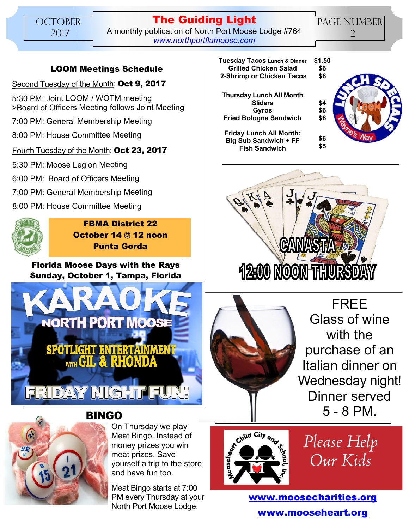#### **The Guiding Light** A monthly publication of North Port Moose Lodge #764 *[www.northportflamoose.com](http://www.northportflamoose.com)*

PAGE NUMBER 2

#### **LOOM Meetings Schedule**

Second Tuesday of the Month: **Oct 9, 2017**

5:30 PM: Joint LOOM / WOTM meeting >Board of Officers Meeting follows Joint Meeting

7:00 PM: General Membership Meeting

8:00 PM: House Committee Meeting

#### Fourth Tuesday of the Month: **Oct 23, 2017**

5:30 PM: Moose Legion Meeting

6:00 PM: Board of Officers Meeting

- 7:00 PM: General Membership Meeting
- 8:00 PM: House Committee Meeting



**FBMA District 22 October 14 @ 12 noon Punta Gorda**

**Florida Moose Days with the Rays Sunday, October 1, Tampa, Florida**





On Thursday we play Meat Bingo. Instead of money prizes you win meat prizes. Save yourself a trip to the store and have fun too.

Meat Bingo starts at 7:00 PM every Thursday at your North Port Moose Lodge.

| Tuesday Tacos Lunch & Dinner | \$1.5 |
|------------------------------|-------|
| <b>Grilled Chicken Salad</b> | \$6   |
|                              |       |

 **2-Shrimp or Chicken Tacos**

**Friday Lunch All Month: Big Sub Sandwich + FF Fish Sandwich**







FREE Glass of wine with the purchase of an Italian dinner on Wednesday night! Dinner served 5 - 8 PM.



Please Help Our Kids

**[www.moosecharities.org](http://www.moosecharities.org) [www.mooseheart.org](http://www.mooseheart.org)**